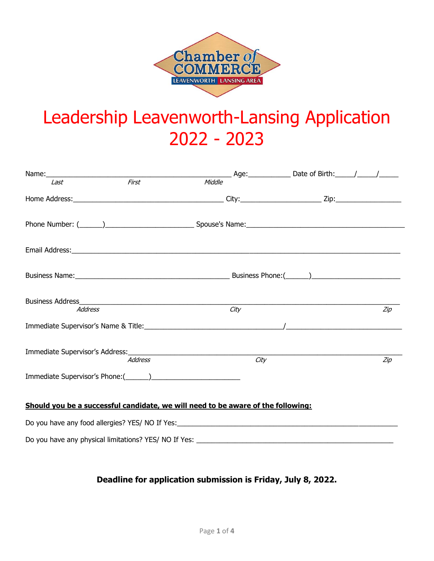

# Leadership Leavenworth-Lansing Application 2022 - 2023

|                                                                                  |                | Email Address: North American Communication of the Communication of the Communication of the Communication of the Communication of the Communication of the Communication of the Communication of the Communication of the Com |      |     |  |  |
|----------------------------------------------------------------------------------|----------------|--------------------------------------------------------------------------------------------------------------------------------------------------------------------------------------------------------------------------------|------|-----|--|--|
|                                                                                  |                |                                                                                                                                                                                                                                |      |     |  |  |
| <b>Address</b>                                                                   |                | City                                                                                                                                                                                                                           |      | Zip |  |  |
|                                                                                  |                | Immediate Supervisor's Name & Title: Name of the Contract of the Contract of the Contract of the Contract of the Contract of the Contract of the Contract of the Contract of the Contract of the Contract of the Contract of t |      |     |  |  |
| Immediate Supervisor's Address: Management of the Supervisor's Address:          | <b>Address</b> |                                                                                                                                                                                                                                | City | Zip |  |  |
|                                                                                  |                |                                                                                                                                                                                                                                |      |     |  |  |
| Should you be a successful candidate, we will need to be aware of the following: |                |                                                                                                                                                                                                                                |      |     |  |  |
|                                                                                  |                |                                                                                                                                                                                                                                |      |     |  |  |
|                                                                                  |                | Do you have any physical limitations? YES/ NO If Yes: ___________________________                                                                                                                                              |      |     |  |  |

## **Deadline for application submission is Friday, July 8, 2022.**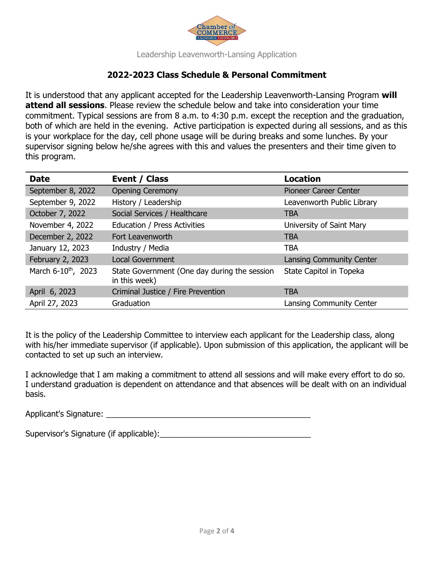

Leadership Leavenworth-Lansing Application

## **2022-2023 Class Schedule & Personal Commitment**

It is understood that any applicant accepted for the Leadership Leavenworth-Lansing Program **will attend all sessions**. Please review the schedule below and take into consideration your time commitment. Typical sessions are from 8 a.m. to 4:30 p.m. except the reception and the graduation, both of which are held in the evening. Active participation is expected during all sessions, and as this is your workplace for the day, cell phone usage will be during breaks and some lunches. By your supervisor signing below he/she agrees with this and values the presenters and their time given to this program.

| <b>Date</b>                     | Event / Class                                                 | <b>Location</b>                 |
|---------------------------------|---------------------------------------------------------------|---------------------------------|
| September 8, 2022               | <b>Opening Ceremony</b>                                       | Pioneer Career Center           |
| September 9, 2022               | History / Leadership                                          | Leavenworth Public Library      |
| October 7, 2022                 | Social Services / Healthcare                                  | <b>TBA</b>                      |
| November 4, 2022                | Education / Press Activities                                  | University of Saint Mary        |
| December 2, 2022                | Fort Leavenworth                                              | <b>TBA</b>                      |
| January 12, 2023                | Industry / Media                                              | <b>TBA</b>                      |
| February 2, 2023                | <b>Local Government</b>                                       | Lansing Community Center        |
| March 6-10 <sup>th</sup> , 2023 | State Government (One day during the session<br>in this week) | State Capitol in Topeka         |
| April 6, 2023                   | Criminal Justice / Fire Prevention                            | <b>TBA</b>                      |
| April 27, 2023                  | Graduation                                                    | <b>Lansing Community Center</b> |

It is the policy of the Leadership Committee to interview each applicant for the Leadership class, along with his/her immediate supervisor (if applicable). Upon submission of this application, the applicant will be contacted to set up such an interview.

I acknowledge that I am making a commitment to attend all sessions and will make every effort to do so. I understand graduation is dependent on attendance and that absences will be dealt with on an individual basis.

Applicant's Signature: \_\_\_\_\_\_\_\_\_\_\_\_\_\_\_\_\_\_\_\_\_\_\_\_\_\_\_\_\_\_\_\_\_\_\_\_\_\_\_\_\_\_\_\_\_\_

Supervisor's Signature (if applicable):\_\_\_\_\_\_\_\_\_\_\_\_\_\_\_\_\_\_\_\_\_\_\_\_\_\_\_\_\_\_\_\_\_\_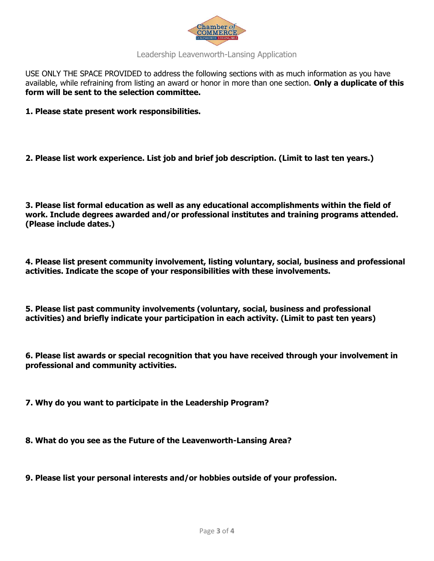

### Leadership Leavenworth-Lansing Application

USE ONLY THE SPACE PROVIDED to address the following sections with as much information as you have available, while refraining from listing an award or honor in more than one section. **Only a duplicate of this form will be sent to the selection committee.** 

- **1. Please state present work responsibilities.**
- **2. Please list work experience. List job and brief job description. (Limit to last ten years.)**

**3. Please list formal education as well as any educational accomplishments within the field of work. Include degrees awarded and/or professional institutes and training programs attended. (Please include dates.)** 

**4. Please list present community involvement, listing voluntary, social, business and professional activities. Indicate the scope of your responsibilities with these involvements.** 

**5. Please list past community involvements (voluntary, social, business and professional activities) and briefly indicate your participation in each activity. (Limit to past ten years)** 

**6. Please list awards or special recognition that you have received through your involvement in professional and community activities.** 

**7. Why do you want to participate in the Leadership Program?** 

**8. What do you see as the Future of the Leavenworth-Lansing Area?** 

**9. Please list your personal interests and/or hobbies outside of your profession.**